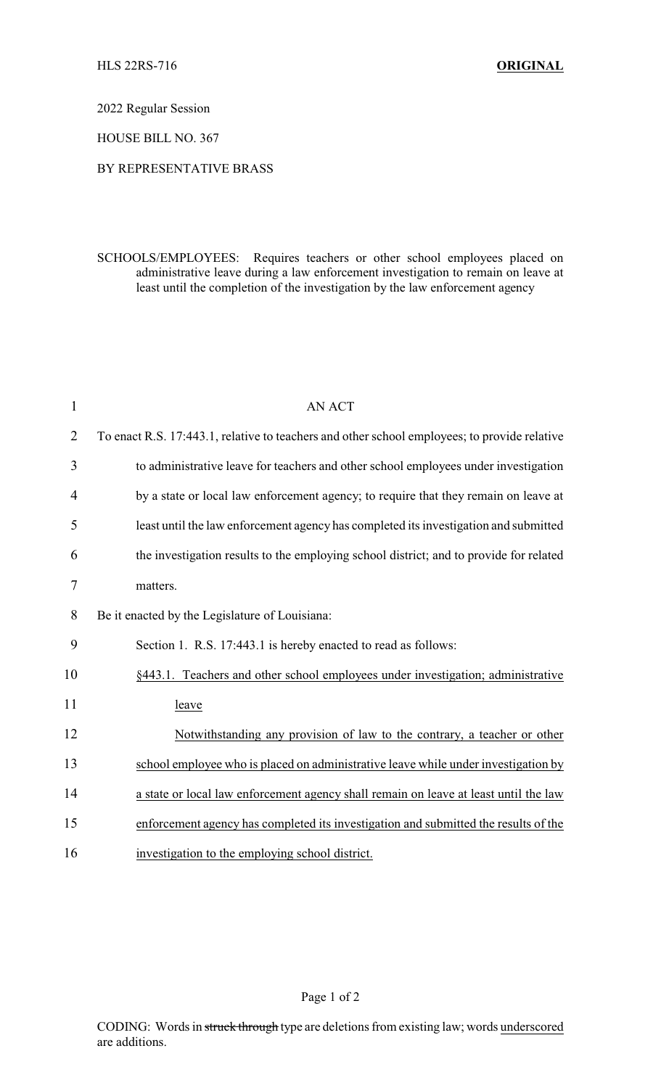2022 Regular Session

HOUSE BILL NO. 367

## BY REPRESENTATIVE BRASS

SCHOOLS/EMPLOYEES: Requires teachers or other school employees placed on administrative leave during a law enforcement investigation to remain on leave at least until the completion of the investigation by the law enforcement agency

| $\mathbf{1}$   | <b>AN ACT</b>                                                                                |
|----------------|----------------------------------------------------------------------------------------------|
| $\overline{2}$ | To enact R.S. 17:443.1, relative to teachers and other school employees; to provide relative |
| 3              | to administrative leave for teachers and other school employees under investigation          |
| 4              | by a state or local law enforcement agency; to require that they remain on leave at          |
| 5              | least until the law enforcement agency has completed its investigation and submitted         |
| 6              | the investigation results to the employing school district; and to provide for related       |
| 7              | matters.                                                                                     |
| 8              | Be it enacted by the Legislature of Louisiana:                                               |
| 9              | Section 1. R.S. 17:443.1 is hereby enacted to read as follows:                               |
| 10             | §443.1. Teachers and other school employees under investigation; administrative              |
| 11             | leave                                                                                        |
| 12             | Notwithstanding any provision of law to the contrary, a teacher or other                     |
| 13             | school employee who is placed on administrative leave while under investigation by           |
| 14             | a state or local law enforcement agency shall remain on leave at least until the law         |
| 15             | enforcement agency has completed its investigation and submitted the results of the          |
| 16             | investigation to the employing school district.                                              |

Page 1 of 2